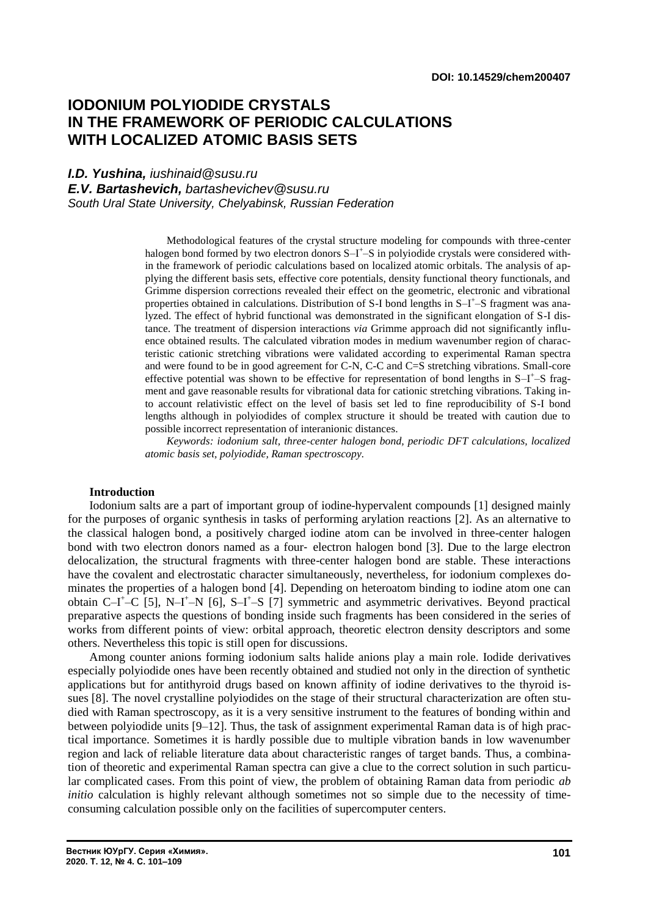# **IODONIUM POLYIODIDE CRYSTALS IN THE FRAMEWORK OF PERIODIC CALCULATIONS WITH LOCALIZED ATOMIC BASIS SETS**

*I.D. Yushina, iushinaid@susu.ru*

*E.V. Bartashevich, bartashevichev@susu.ru*

*South Ural State University, Chelyabinsk, Russian Federation*

Methodological features of the crystal structure modeling for compounds with three-center halogen bond formed by two electron donors S-I<sup>+</sup>-S in polyiodide crystals were considered within the framework of periodic calculations based on localized atomic orbitals. The analysis of applying the different basis sets, effective core potentials, density functional theory functionals, and Grimme dispersion corrections revealed their effect on the geometric, electronic and vibrational properties obtained in calculations. Distribution of S-I bond lengths in S-I<sup>+</sup>-S fragment was analyzed. The effect of hybrid functional was demonstrated in the significant elongation of S-I distance. The treatment of dispersion interactions *via* Grimme approach did not significantly influence obtained results. The calculated vibration modes in medium wavenumber region of characteristic cationic stretching vibrations were validated according to experimental Raman spectra and were found to be in good agreement for C-N, C-C and C=S stretching vibrations. Small-core effective potential was shown to be effective for representation of bond lengths in S-I<sup>+</sup>-S fragment and gave reasonable results for vibrational data for cationic stretching vibrations. Taking into account relativistic effect on the level of basis set led to fine reproducibility of S-I bond lengths although in polyiodides of complex structure it should be treated with caution due to possible incorrect representation of interanionic distances.

*Keywords: iodonium salt, three-center halogen bond, periodic DFT calculations, localized atomic basis set, polyiodide, Raman spectroscopy.*

#### **Introduction**

Iodonium salts are a part of important group of iodine-hypervalent compounds [1] designed mainly for the purposes of organic synthesis in tasks of performing arylation reactions [2]. As an alternative to the classical halogen bond, a positively charged iodine atom can be involved in three-center halogen bond with two electron donors named as a four‐ electron halogen bond [3]. Due to the large electron delocalization, the structural fragments with three-center halogen bond are stable. These interactions have the covalent and electrostatic character simultaneously, nevertheless, for iodonium complexes dominates the properties of a halogen bond [4]. Depending on heteroatom binding to iodine atom one can obtain  $C-I^+$ - $C$  [5], N-I<sup>+</sup>-N [6], S-I<sup>+</sup>-S [7] symmetric and asymmetric derivatives. Beyond practical preparative aspects the questions of bonding inside such fragments has been considered in the series of works from different points of view: orbital approach, theoretic electron density descriptors and some others. Nevertheless this topic is still open for discussions.

Among counter anions forming iodonium salts halide anions play a main role. Iodide derivatives especially polyiodide ones have been recently obtained and studied not only in the direction of synthetic applications but for antithyroid drugs based on known affinity of iodine derivatives to the thyroid issues [8]. The novel crystalline polyiodides on the stage of their structural characterization are often studied with Raman spectroscopy, as it is a very sensitive instrument to the features of bonding within and between polyiodide units [9–12]. Thus, the task of assignment experimental Raman data is of high practical importance. Sometimes it is hardly possible due to multiple vibration bands in low wavenumber region and lack of reliable literature data about characteristic ranges of target bands. Thus, a combination of theoretic and experimental Raman spectra can give a clue to the correct solution in such particular complicated cases. From this point of view, the problem of obtaining Raman data from periodic *ab initio* calculation is highly relevant although sometimes not so simple due to the necessity of timeconsuming calculation possible only on the facilities of supercomputer centers.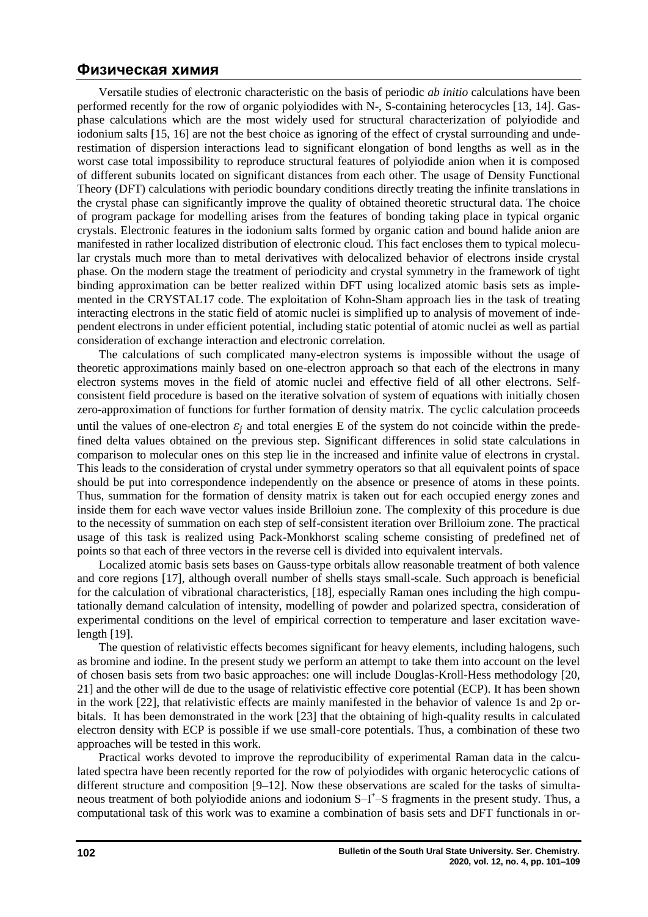Versatile studies of electronic characteristic on the basis of periodic *ab initio* calculations have been performed recently for the row of organic polyiodides with N-, S-containing heterocycles [13, 14]. Gasphase calculations which are the most widely used for structural characterization of polyiodide and iodonium salts [15, 16] are not the best choice as ignoring of the effect of crystal surrounding and underestimation of dispersion interactions lead to significant elongation of bond lengths as well as in the worst case total impossibility to reproduce structural features of polyiodide anion when it is composed of different subunits located on significant distances from each other. The usage of Density Functional Theory (DFT) calculations with periodic boundary conditions directly treating the infinite translations in the crystal phase can significantly improve the quality of obtained theoretic structural data. The choice of program package for modelling arises from the features of bonding taking place in typical organic crystals. Electronic features in the iodonium salts formed by organic cation and bound halide anion are manifested in rather localized distribution of electronic cloud. This fact encloses them to typical molecular crystals much more than to metal derivatives with delocalized behavior of electrons inside crystal phase. On the modern stage the treatment of periodicity and crystal symmetry in the framework of tight binding approximation can be better realized within DFT using localized atomic basis sets as implemented in the CRYSTAL17 code. The exploitation of Kohn-Sham approach lies in the task of treating interacting electrons in the static field of atomic nuclei is simplified up to analysis of movement of independent electrons in under efficient potential, including static potential of atomic nuclei as well as partial consideration of exchange interaction and electronic correlation.

The calculations of such complicated many-electron systems is impossible without the usage of theoretic approximations mainly based on one-electron approach so that each of the electrons in many electron systems moves in the field of atomic nuclei and effective field of all other electrons. Selfconsistent field procedure is based on the iterative solvation of system of equations with initially chosen zero-approximation of functions for further formation of density matrix. The cyclic calculation proceeds until the values of one-electron  $\varepsilon_i$  and total energies E of the system do not coincide within the predefined delta values obtained on the previous step. Significant differences in solid state calculations in comparison to molecular ones on this step lie in the increased and infinite value of electrons in crystal. This leads to the consideration of crystal under symmetry operators so that all equivalent points of space should be put into correspondence independently on the absence or presence of atoms in these points. Thus, summation for the formation of density matrix is taken out for each occupied energy zones and inside them for each wave vector values inside Brilloiun zone. The complexity of this procedure is due

to the necessity of summation on each step of self-consistent iteration over Brilloium zone. The practical usage of this task is realized using Pack-Monkhorst scaling scheme consisting of predefined net of points so that each of three vectors in the reverse cell is divided into equivalent intervals.

Localized atomic basis sets bases on Gauss-type orbitals allow reasonable treatment of both valence and core regions [17], although overall number of shells stays small-scale. Such approach is beneficial for the calculation of vibrational characteristics, [18], especially Raman ones including the high computationally demand calculation of intensity, modelling of powder and polarized spectra, consideration of experimental conditions on the level of empirical correction to temperature and laser excitation wavelength [19].

The question of relativistic effects becomes significant for heavy elements, including halogens, such as bromine and iodine. In the present study we perform an attempt to take them into account on the level of chosen basis sets from two basic approaches: one will include Douglas-Kroll-Hess methodology [20, 21] and the other will de due to the usage of relativistic effective core potential (ECP). It has been shown in the work [22], that relativistic effects are mainly manifested in the behavior of valence 1s and 2p orbitals. It has been demonstrated in the work [23] that the obtaining of high-quality results in calculated electron density with ECP is possible if we use small-core potentials. Thus, a combination of these two approaches will be tested in this work.

Practical works devoted to improve the reproducibility of experimental Raman data in the calculated spectra have been recently reported for the row of polyiodides with organic heterocyclic cations of different structure and composition [9–12]. Now these observations are scaled for the tasks of simultaneous treatment of both polyiodide anions and iodonium S-I<sup>+</sup>-S fragments in the present study. Thus, a computational task of this work was to examine a combination of basis sets and DFT functionals in or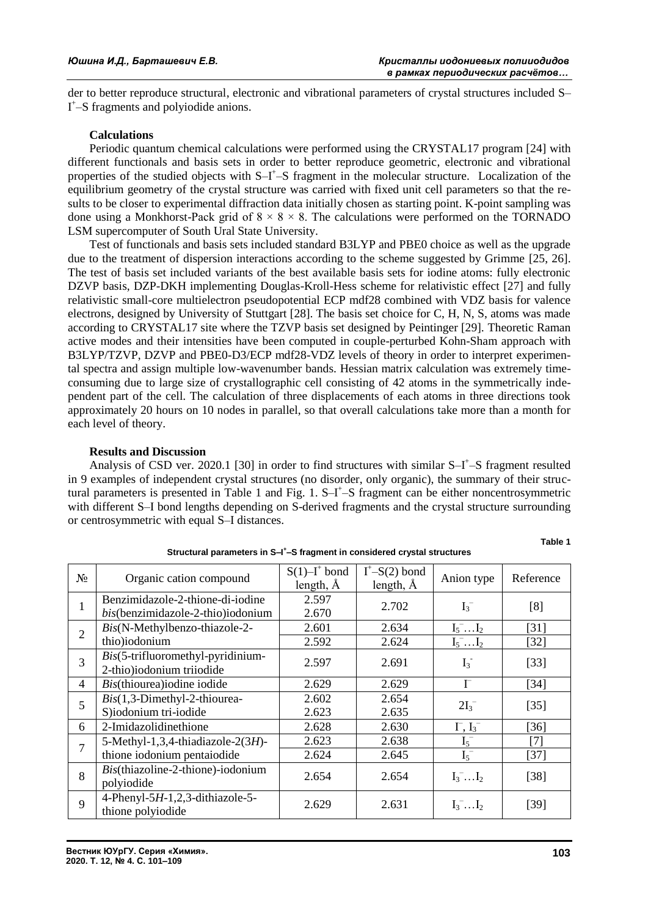der to better reproduce structural, electronic and vibrational parameters of crystal structures included S– I<sup>+</sup>-S fragments and polyiodide anions.

#### **Calculations**

Periodic quantum chemical calculations were performed using the CRYSTAL17 program [24] with different functionals and basis sets in order to better reproduce geometric, electronic and vibrational properties of the studied objects with  $S-I^+$ -S fragment in the molecular structure. Localization of the equilibrium geometry of the crystal structure was carried with fixed unit cell parameters so that the results to be closer to experimental diffraction data initially chosen as starting point. K-point sampling was done using a Monkhorst-Pack grid of  $8 \times 8 \times 8$ . The calculations were performed on the TORNADO LSM supercomputer of South Ural State University.

Test of functionals and basis sets included standard B3LYP and PBE0 choice as well as the upgrade due to the treatment of dispersion interactions according to the scheme suggested by Grimme [25, 26]. The test of basis set included variants of the best available basis sets for iodine atoms: fully electronic DZVP basis, DZP-DKH implementing Douglas-Kroll-Hess scheme for relativistic effect [27] and fully relativistic small-core multielectron pseudopotential ECP mdf28 combined with VDZ basis for valence electrons, designed by University of Stuttgart [28]. The basis set choice for C, H, N, S, atoms was made according to CRYSTAL17 site where the TZVP basis set designed by Peintinger [29]. Theoretic Raman active modes and their intensities have been computed in couple-perturbed Kohn-Sham approach with B3LYP/TZVP, DZVP and PBE0-D3/ECP mdf28-VDZ levels of theory in order to interpret experimental spectra and assign multiple low-wavenumber bands. Hessian matrix calculation was extremely timeconsuming due to large size of crystallographic cell consisting of 42 atoms in the symmetrically independent part of the cell. The calculation of three displacements of each atoms in three directions took approximately 20 hours on 10 nodes in parallel, so that overall calculations take more than a month for each level of theory.

#### **Results and Discussion**

Analysis of CSD ver. 2020.1 [30] in order to find structures with similar S-I<sup>+</sup>-S fragment resulted in 9 examples of independent crystal structures (no disorder, only organic), the summary of their structural parameters is presented in Table 1 and Fig. 1. S-I<sup>+</sup>-S fragment can be either noncentrosymmetric with different S–I bond lengths depending on S-derived fragments and the crystal structure surrounding or centrosymmetric with equal S–I distances.

| $N_2$          | Organic cation compound                                               | $S(1)$ -I <sup>+</sup> bond<br>length, $\AA$ | $I^+$ -S(2) bond<br>length, $\AA$ | Anion type         | Reference |
|----------------|-----------------------------------------------------------------------|----------------------------------------------|-----------------------------------|--------------------|-----------|
| 1              | Benzimidazole-2-thione-di-iodine<br>bis(benzimidazole-2-thio)iodonium | 2.597<br>2.670                               | 2.702                             | $I_3^-$            | [8]       |
| $\overline{2}$ | Bis(N-Methylbenzo-thiazole-2-                                         | 2.601                                        | 2.634                             | $I_5$ $I_2$        | [31]      |
|                | thio)iodonium                                                         | 2.592                                        | 2.624                             | $I_5$ $I_2$        | $[32]$    |
| 3              | Bis(5-trifluoromethyl-pyridinium-<br>2-thio)iodonium triiodide        | 2.597                                        | 2.691                             | $I_3^-$            | $[33]$    |
| $\overline{4}$ | Bis(thiourea)iodine iodide                                            | 2.629                                        | 2.629                             | $\Gamma$           | $[34]$    |
| 5              | $Bis(1,3-Dimethyl-2-thiourea-$                                        | 2.602                                        | 2.654                             | $2I_3^-$           | $[35]$    |
|                | S)iodonium tri-iodide                                                 | 2.623                                        | 2.635                             |                    |           |
| 6              | 2-Imidazolidinethione                                                 | 2.628                                        | 2.630                             | $\Gamma$ , $I_3^-$ | $[36]$    |
| 7              | 5-Methyl-1,3,4-thiadiazole-2(3H)-                                     | 2.623                                        | 2.638                             | $I_5^-$            | [7]       |
|                | thione iodonium pentaiodide                                           | 2.624                                        | 2.645                             | $I_5^-$            | $[37]$    |
| 8              | Bis(thiazoline-2-thione)-iodonium<br>polyiodide                       | 2.654                                        | 2.654                             | $I_3$ $I_2$        | $[38]$    |
| 9              | 4-Phenyl-5H-1,2,3-dithiazole-5-<br>thione polyiodide                  | 2.629                                        | 2.631                             | $I_3$ $I_2$        | $[39]$    |

**Structural parameters in S–I + –S fragment in considered crystal structures**

**Table 1**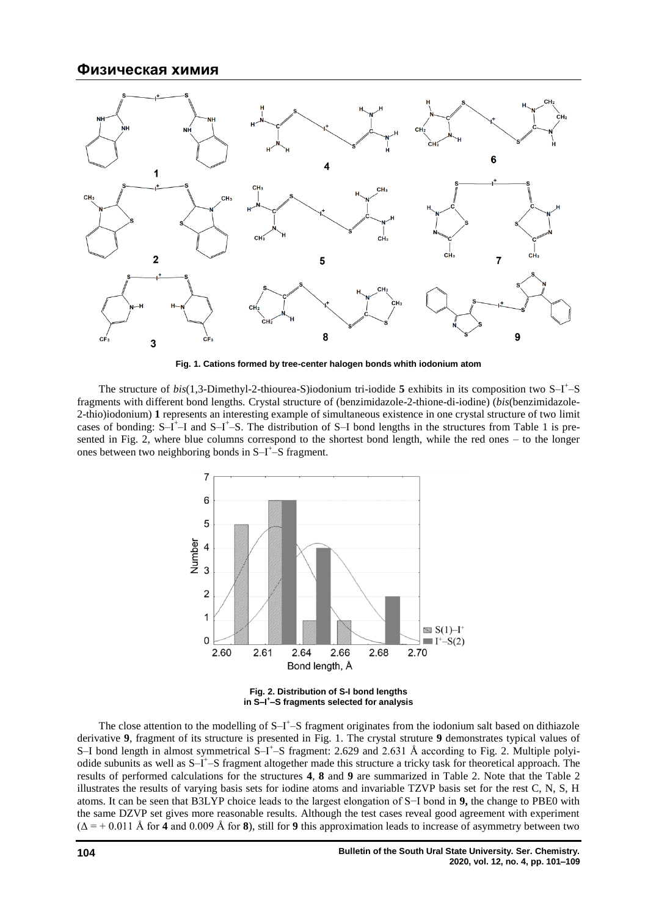

**Fig. 1. Cations formed by tree-center halogen bonds whith iodonium atom**

The structure of  $bis(1,3-Dimethyl-2-thiourea-S)iodonium tri-iodide 5 exhibits in its composition two S-I<sup>+</sup>-S$ fragments with different bond lengths. Crystal structure of (benzimidazole-2-thione-di-iodine) (*bis*(benzimidazole-2-thio)iodonium) **1** represents an interesting example of simultaneous existence in one crystal structure of two limit cases of bonding: S-I<sup>+</sup>-I and S-I<sup>+</sup>-S. The distribution of S-I bond lengths in the structures from Table 1 is presented in Fig. 2, where blue columns correspond to the shortest bond length, while the red ones – to the longer ones between two neighboring bonds in  $S-I^+$ -S fragment.



**Fig. 2. Distribution of S-I bond lengths in S–I + –S fragments selected for analysis**

The close attention to the modelling of  $S-I^+$ –S fragment originates from the iodonium salt based on dithiazole derivative **9**, fragment of its structure is presented in Fig. 1. The crystal struture **9** demonstrates typical values of S-I bond length in almost symmetrical S-I<sup>+</sup>-S fragment: 2.629 and 2.631 Å according to Fig. 2. Multiple polyiodide subunits as well as S–I<sup>+</sup>–S fragment altogether made this structure a tricky task for theoretical approach. The results of performed calculations for the structures **4**, **8** and **9** are summarized in Table 2. Note that the Table 2 illustrates the results of varying basis sets for iodine atoms and invariable TZVP basis set for the rest C, N, S, H atoms. It can be seen that B3LYP choice leads to the largest elongation of S−I bond in **9,** the change to PBE0 with the same DZVP set gives more reasonable results. Although the test cases reveal good agreement with experiment (Δ = + 0.011 Å for **4** and 0.009 Å for **8**), still for **9** this approximation leads to increase of asymmetry between two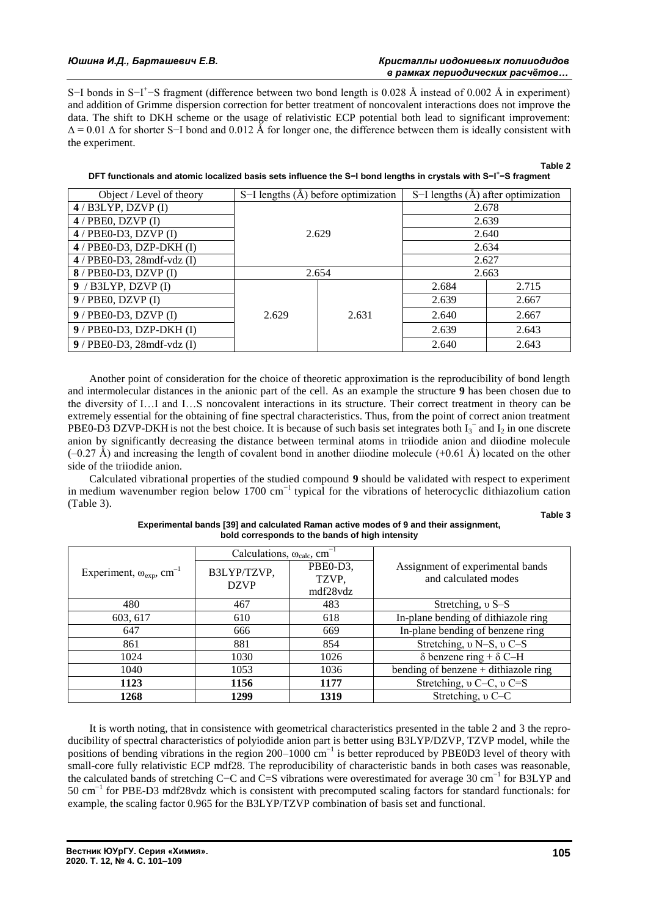S–I bonds in S–I<sup>+</sup>–S fragment (difference between two bond length is 0.028 Å instead of 0.002 Å in experiment) and addition of Grimme dispersion correction for better treatment of noncovalent interactions does not improve the data. The shift to DKH scheme or the usage of relativistic ECP potential both lead to significant improvement:  $\Delta$  = 0.01  $\Delta$  for shorter S–I bond and 0.012 Å for longer one, the difference between them is ideally consistent with the experiment.

| Object / Level of theory     | S-I lengths $(A)$ before optimization |       | S-I lengths $(\hat{A})$ after optimization |       |  |
|------------------------------|---------------------------------------|-------|--------------------------------------------|-------|--|
| $4/$ B3LYP, DZVP $(I)$       | 2.629                                 |       | 2.678                                      |       |  |
| $4$ / PBE0, DZVP (I)         |                                       |       | 2.639                                      |       |  |
| $4$ / PBE0-D3, DZVP (I)      |                                       |       | 2.640                                      |       |  |
| $4$ / PBE0-D3, DZP-DKH (I)   |                                       |       | 2.634                                      |       |  |
| $4$ / PBE0-D3, 28mdf-vdz (I) |                                       |       | 2.627                                      |       |  |
| $8/$ PBE0-D3, DZVP (I)       | 2.654                                 |       | 2.663                                      |       |  |
| $9/$ B3LYP, DZVP (I)         |                                       | 2.631 | 2.684                                      | 2.715 |  |
| $9$ / PBE0, DZVP (I)         |                                       |       | 2.639                                      | 2.667 |  |
| $9$ / PBE0-D3, DZVP (I)      | 2.629                                 |       | 2.640                                      | 2.667 |  |
| $9$ / PBE0-D3, DZP-DKH (I)   |                                       |       | 2.639                                      | 2.643 |  |
| $9$ / PBE0-D3, 28mdf-vdz (I) |                                       |       | 2.640                                      | 2.643 |  |

| DFT functionals and atomic localized basis sets influence the S−I bond lengths in crystals with S−I*−S fragment |  |
|-----------------------------------------------------------------------------------------------------------------|--|
|                                                                                                                 |  |

Another point of consideration for the choice of theoretic approximation is the reproducibility of bond length and intermolecular distances in the anionic part of the cell. As an example the structure **9** has been chosen due to the diversity of I…I and I…S noncovalent interactions in its structure. Their correct treatment in theory can be extremely essential for the obtaining of fine spectral characteristics. Thus, from the point of correct anion treatment PBE0-D3 DZVP-DKH is not the best choice. It is because of such basis set integrates both  $I_3^-$  and  $I_2$  in one discrete anion by significantly decreasing the distance between terminal atoms in triiodide anion and diiodine molecule  $(-0.27 \text{ Å})$  and increasing the length of covalent bond in another diiodine molecule  $(+0.61 \text{ Å})$  located on the other side of the triiodide anion.

Calculated vibrational properties of the studied compound **9** should be validated with respect to experiment in medium wavenumber region below 1700 cm−1 typical for the vibrations of heterocyclic dithiazolium cation (Table 3).

**Table 3**

**Table 2**

|                                               | Calculations, $\omega_{calc}$ , cm <sup>-1</sup> |          |                                        |  |
|-----------------------------------------------|--------------------------------------------------|----------|----------------------------------------|--|
| Experiment, $\omega_{exp}$ , cm <sup>-1</sup> | B3LYP/TZVP,<br><b>DZVP</b>                       | PBE0-D3, | Assignment of experimental bands       |  |
|                                               |                                                  | TZVP,    | and calculated modes                   |  |
|                                               |                                                  | mdf28vdz |                                        |  |
| 480                                           | 467                                              | 483      | Stretching, v S-S                      |  |
| 603, 617                                      | 610                                              | 618      | In-plane bending of dithiazole ring    |  |
| 647                                           | 666                                              | 669      | In-plane bending of benzene ring       |  |
| 861                                           | 881                                              | 854      | Stretching, v N-S, v C-S               |  |
| 1024                                          | 1030                                             | 1026     | $\delta$ benzene ring + $\delta$ C–H   |  |
| 1040                                          | 1053                                             | 1036     | bending of benzene $+$ dithiazole ring |  |
| 1123                                          | 1156                                             | 1177     | Stretching, v C-C, v C=S               |  |
| 1268                                          | 1299                                             | 1319     | Stretching, v C-C                      |  |

| Experimental bands [39] and calculated Raman active modes of 9 and their assignment, |
|--------------------------------------------------------------------------------------|
| bold corresponds to the bands of high intensity                                      |

It is worth noting, that in consistence with geometrical characteristics presented in the table 2 and 3 the reproducibility of spectral characteristics of polyiodide anion part is better using B3LYP/DZVP, TZVP model, while the positions of bending vibrations in the region 200–1000 cm<sup>-1</sup> is better reproduced by PBE0D3 level of theory with small-core fully relativistic ECP mdf28. The reproducibility of characteristic bands in both cases was reasonable, the calculated bands of stretching C−C and C=S vibrations were overestimated for average 30 cm−1 for B3LYP and 50 cm−1 for PBE-D3 mdf28vdz which is consistent with precomputed scaling factors for standard functionals: for example, the scaling factor 0.965 for the B3LYP/TZVP combination of basis set and functional.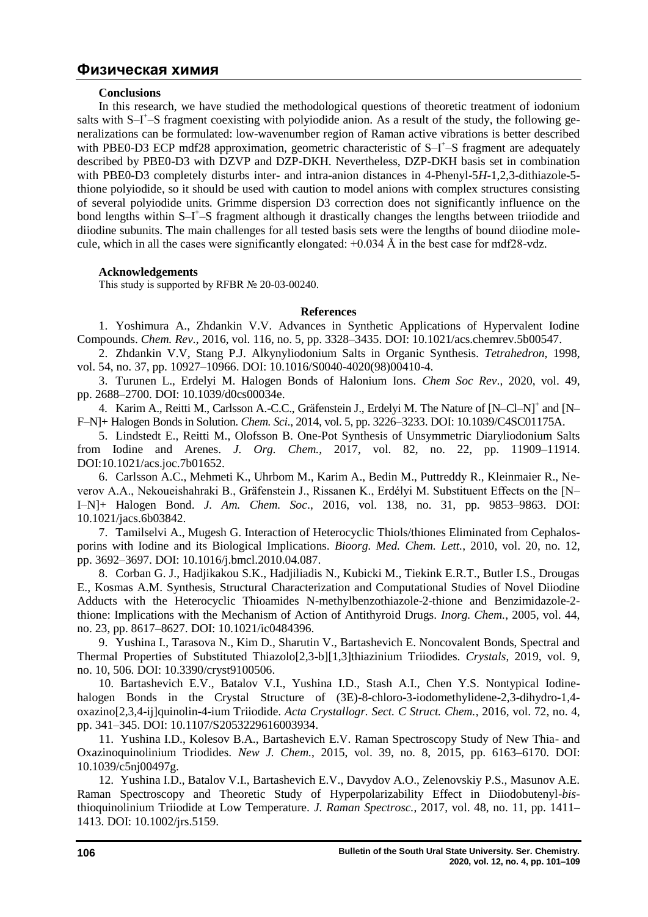#### **Conclusions**

In this research, we have studied the methodological questions of theoretic treatment of iodonium salts with S–I<sup>+</sup>–S fragment coexisting with polyiodide anion. As a result of the study, the following generalizations can be formulated: low-wavenumber region of Raman active vibrations is better described with PBE0-D3 ECP mdf28 approximation, geometric characteristic of S-I<sup>+</sup>-S fragment are adequately described by PBE0-D3 with DZVP and DZP-DKH. Nevertheless, DZP-DKH basis set in combination with PBE0-D3 completely disturbs inter- and intra-anion distances in 4-Phenyl-5*H*-1,2,3-dithiazole-5 thione polyiodide, so it should be used with caution to model anions with complex structures consisting of several polyiodide units. Grimme dispersion D3 correction does not significantly influence on the bond lengths within S-I<sup>+</sup>-S fragment although it drastically changes the lengths between triiodide and diiodine subunits. The main challenges for all tested basis sets were the lengths of bound diiodine molecule, which in all the cases were significantly elongated:  $+0.034 \text{ Å}$  in the best case for mdf28-vdz.

## **Acknowledgements**

This study is supported by RFBR № 20-03-00240.

## **References**

1. Yoshimura A., Zhdankin V.V. Advances in Synthetic Applications of Hypervalent Iodine Compounds. *Chem. Rev.*, 2016, vol. 116, no. 5, pp. 3328–3435. DOI: 10.1021/acs.chemrev.5b00547.

2. Zhdankin V.V, Stang P.J. Alkynyliodonium Salts in Organic Synthesis. *Tetrahedron*, 1998, vol. 54, no. 37, pp. 10927–10966. DOI: 10.1016/S0040-4020(98)00410-4.

3. Turunen L., Erdelyi M. Halogen Bonds of Halonium Ions. *Chem Soc Rev*., 2020, vol. 49, pp. 2688–2700. DOI: 10.1039/d0cs00034e.

4. Karim A., Reitti M., Carlsson A.-C.C., Gräfenstein J., Erdelyi M. The Nature of [N-Cl-N]<sup>+</sup> and [N-F–N]+ Halogen Bonds in Solution. *Chem. Sci*., 2014, vol. 5, pp. 3226–3233. DOI: 10.1039/C4SC01175A.

5. Lindstedt E., Reitti M., Olofsson B. One-Pot Synthesis of Unsymmetric Diaryliodonium Salts from Iodine and Arenes. *J. Org. Chem.*, 2017, vol. 82, no. 22, pp. 11909–11914. DOI:10.1021/acs.joc.7b01652.

6. Carlsson A.C., Mehmeti K., Uhrbom M., Karim A., Bedin M., Puttreddy R., Kleinmaier R., Neverov A.A., Nekoueishahraki B., Gräfenstein J., Rissanen K., Erdélyi M. Substituent Effects on the [N– I–N]+ Halogen Bond. *J. Am. Chem. Soc*., 2016, vol. 138, no. 31, pp. 9853–9863. DOI: 10.1021/jacs.6b03842.

7. Tamilselvi A., Mugesh G. Interaction of Heterocyclic Thiols/thiones Eliminated from Cephalosporins with Iodine and its Biological Implications. *Bioorg. Med. Chem. Lett.*, 2010, vol. 20, no. 12, pp. 3692–3697. DOI: 10.1016/j.bmcl.2010.04.087.

8. Corban G. J., Hadjikakou S.K., Hadjiliadis N., Kubicki M., Tiekink E.R.T., Butler I.S., Drougas E., Kosmas A.M. Synthesis, Structural Characterization and Computational Studies of Novel Diiodine Adducts with the Heterocyclic Thioamides N-methylbenzothiazole-2-thione and Benzimidazole-2 thione: Implications with the Mechanism of Action of Antithyroid Drugs. *Inorg. Chem.*, 2005, vol. 44, no. 23, pp. 8617–8627. DOI: 10.1021/ic0484396.

9. Yushina I., Tarasova N., Kim D., Sharutin V., Bartashevich E. Noncovalent Bonds, Spectral and Thermal Properties of Substituted Thiazolo[2,3-b][1,3]thiazinium Triiodides. *Crystals*, 2019, vol. 9, no. 10, 506. DOI: 10.3390/cryst9100506.

10. Bartashevich E.V., Batalov V.I., Yushina I.D., Stash A.I., Chen Y.S. Nontypical Iodinehalogen Bonds in the Crystal Structure of (3E)-8-chloro-3-iodomethylidene-2,3-dihydro-1,4oxazino[2,3,4-ij]quinolin-4-ium Triiodide. *Acta Crystallogr. Sect. C Struct. Chem.*, 2016, vol. 72, no. 4, pp. 341–345. DOI: 10.1107/S2053229616003934.

11. Yushina I.D., Kolesov B.A., Bartashevich E.V. Raman Spectroscopy Study of New Thia- and Oxazinoquinolinium Triodides. *New J. Chem.*, 2015, vol. 39, no. 8, 2015, pp. 6163–6170. DOI: 10.1039/c5nj00497g.

12. Yushina I.D., Batalov V.I., Bartashevich E.V., Davydov A.O., Zelenovskiy P.S., Masunov A.E. Raman Spectroscopy and Theoretic Study of Hyperpolarizability Effect in Diiodobutenyl-*bis*thioquinolinium Triiodide at Low Temperature. *J. Raman Spectrosc.*, 2017, vol. 48, no. 11, pp. 1411– 1413. DOI: 10.1002/jrs.5159.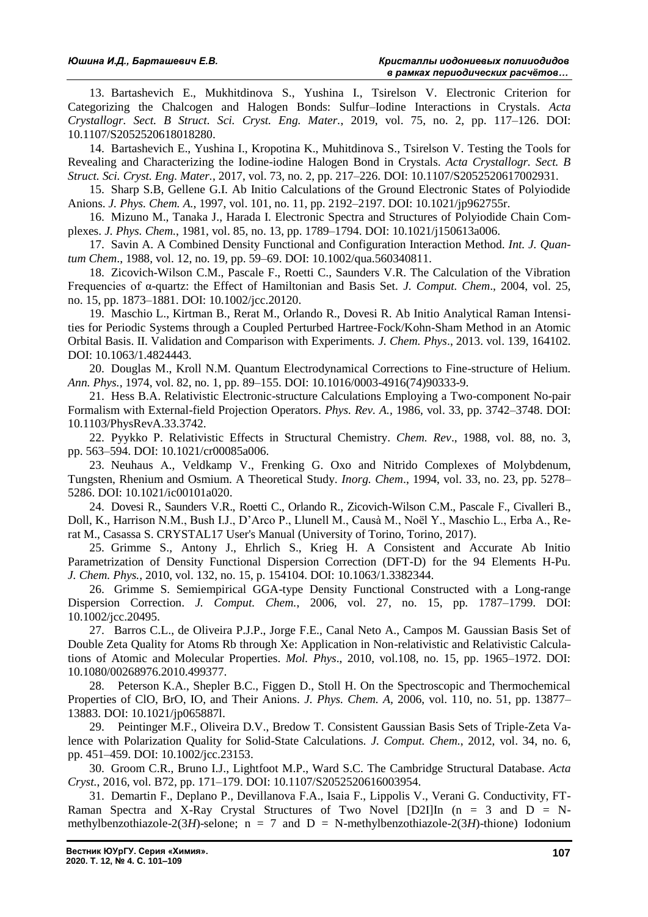13. Bartashevich E., Mukhitdinova S., Yushina I., Tsirelson V. Electronic Criterion for Categorizing the Chalcogen and Halogen Bonds: Sulfur–Iodine Interactions in Crystals. *Acta Crystallogr. Sect. B Struct. Sci. Cryst. Eng. Mater.*, 2019, vol. 75, no. 2, pp. 117–126. DOI: 10.1107/S2052520618018280.

14. Bartashevich E., Yushina I., Kropotina K., Muhitdinova S., Tsirelson V. Testing the Tools for Revealing and Characterizing the Iodine-iodine Halogen Bond in Crystals. *Acta Crystallogr. Sect. B Struct. Sci. Cryst. Eng. Mater.*, 2017, vol. 73, no. 2, pp. 217–226. DOI: 10.1107/S2052520617002931.

15. Sharp S.B, Gellene G.I. Ab Initio Calculations of the Ground Electronic States of Polyiodide Anions. *J. Phys. Chem. A.*, 1997, vol. 101, no. 11, pp. 2192–2197. DOI: 10.1021/jp962755r.

16. Mizuno M., Tanaka J., Harada I. Electronic Spectra and Structures of Polyiodide Chain Complexes. *J. Phys. Chem.*, 1981, vol. 85, no. 13, pp. 1789–1794. DOI: 10.1021/j150613a006.

17. Savin A. A Combined Density Functional and Configuration Interaction Method. *Int. J. Quantum Chem*., 1988, vol. 12, no. 19, pp. 59–69. DOI: 10.1002/qua.560340811.

18. Zicovich-Wilson C.M., Pascale F., Roetti C., Saunders V.R. The Calculation of the Vibration Frequencies of α-quartz: the Effect of Hamiltonian and Basis Set. *J. Comput. Chem*., 2004, vol. 25, no. 15, pp. 1873–1881. DOI: 10.1002/jcc.20120.

19. Maschio L., Kirtman B., Rerat M., Orlando R., Dovesi R. Ab Initio Analytical Raman Intensities for Periodic Systems through a Coupled Perturbed Hartree-Fock/Kohn-Sham Method in an Atomic Orbital Basis. II. Validation and Comparison with Experiments. *J. Chem. Phys*., 2013. vol. 139, 164102. DOI: 10.1063/1.4824443.

20. Douglas М., Kroll N.M. Quantum Electrodynamical Corrections to Fine-structure of Helium. *Ann. Phys.,* 1974, vol. 82, no. 1, pp. 89–155. DOI: 10.1016/0003-4916(74)90333-9.

21. Hess B.A. Relativistic Electronic-structure Calculations Employing a Two-component No-pair Formalism with External-field Projection Operators. *Phys. Rev. A.,* 1986, vol. 33, pp. 3742–3748. DOI: 10.1103/PhysRevA.33.3742.

22. Pyykko Р. Relativistic Effects in Structural Chemistry. *Chem. Rev*., 1988, vol. 88, no. 3, pp. 563–594. DOI: 10.1021/cr00085a006.

23. Neuhaus А., Veldkamp V., Frenking G. Oxo and Nitrido Complexes of Molybdenum, Tungsten, Rhenium and Osmium. A Theoretical Study. *Inorg. Chem*., 1994, vol. 33, no. 23, pp. 5278– 5286. DOI: 10.1021/ic00101a020.

24. Dovesi R., Saunders V.R., Roetti C., Orlando R., Zicovich-Wilson C.M., Pascale F., Civalleri B., Doll, K., Harrison N.M., Bush I.J., D'Arco P., Llunell M., Causà M., Noël Y., Maschio L., Erba A., Rerat M., Casassa S. CRYSTAL17 User's Manual (University of Torino, Torino, 2017).

25. Grimme S., Antony J., Ehrlich S., Krieg H. A Consistent and Accurate Ab Initio Parametrization of Density Functional Dispersion Correction (DFT-D) for the 94 Elements H-Pu. *J. Chem. Phys.*, 2010, vol. 132, no. 15, p. 154104. DOI: 10.1063/1.3382344.

26. Grimme S. Semiempirical GGA-type Density Functional Constructed with a Long-range Dispersion Correction. *J. Comput. Chem.*, 2006, vol. 27, no. 15, pp. 1787–1799. DOI: 10.1002/jcc.20495.

27. Barros C.L., de Oliveira P.J.P., Jorge F.E., Canal Neto A., Campos M. Gaussian Basis Set of Double Zeta Quality for Atoms Rb through Xe: Application in Non-relativistic and Relativistic Calculations of Atomic and Molecular Properties. *Mol. Phys*., 2010, vol.108, no. 15, pp. 1965–1972. DOI: 10.1080/00268976.2010.499377.

28. Peterson K.A., Shepler B.C., Figgen D., Stoll H. On the Spectroscopic and Thermochemical Properties of ClO, BrO, IO, and Their Anions. *J. Phys. Chem. A,* 2006, vol. 110, no. 51, pp. 13877– 13883. DOI: 10.1021/jp065887l.

29. Peintinger M.F., Oliveira D.V., Bredow T. Consistent Gaussian Basis Sets of Triple-Zeta Valence with Polarization Quality for Solid-State Calculations. *J. Comput. Chem.*, 2012, vol. 34, no. 6, pp. 451–459. DOI: 10.1002/jcc.23153.

30. Groom C.R., Bruno I.J., Lightfoot M.P., Ward S.C. The Cambridge Structural Database. *Acta Cryst.*, 2016, vol. B72, pp. 171–179. DOI: 10.1107/S2052520616003954.

31. Demartin F., Deplano P., Devillanova F.A., Isaia F., Lippolis V., Verani G. Conductivity, FT-Raman Spectra and X-Ray Crystal Structures of Two Novel [D2I]In  $(n = 3$  and  $D = N$ methylbenzothiazole-2(3*H*)-selone;  $n = 7$  and  $D = N$ -methylbenzothiazole-2(3*H*)-thione) Iodonium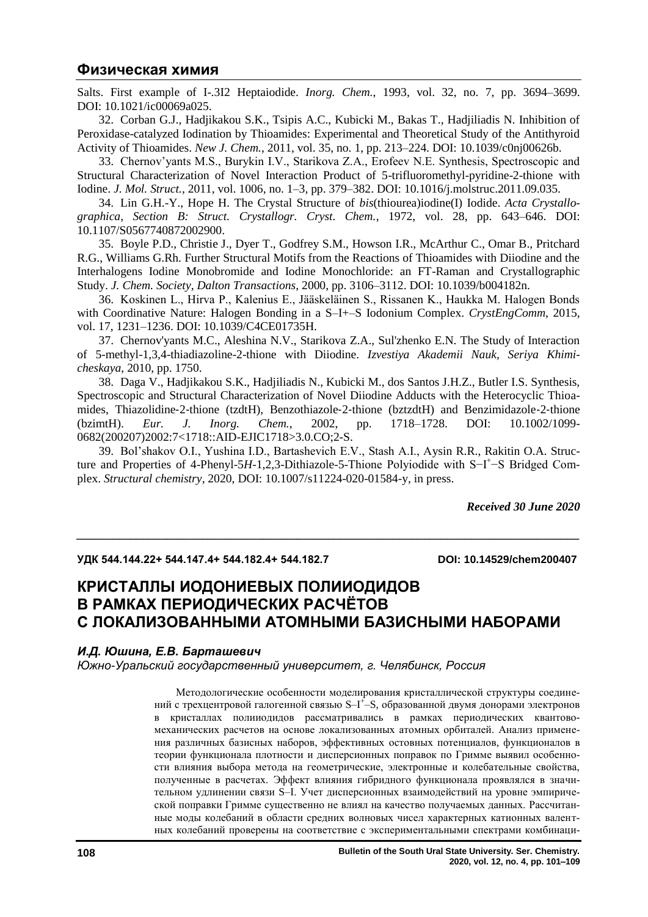Salts. First example of I-.3I2 Heptaiodide. *Inorg. Chem.*, 1993, vol. 32, no. 7, pp. 3694–3699. DOI: 10.1021/ic00069a025.

32. Corban G.J., Hadjikakou S.K., Tsipis A.C., Kubicki M., Bakas T., Hadjiliadis N. Inhibition of Peroxidase-catalyzed Iodination by Thioamides: Experimental and Theoretical Study of the Antithyroid Activity of Thioamides. *New J. Chem.*, 2011, vol. 35, no. 1, pp. 213–224. DOI: 10.1039/c0nj00626b.

33. Chernov'yants M.S., Burykin I.V., Starikova Z.A., Erofeev N.E. Synthesis, Spectroscopic and Structural Characterization of Novel Interaction Product of 5-trifluoromethyl-pyridine-2-thione with Iodine. *J. Mol. Struct.*, 2011, vol. 1006, no. 1–3, pp. 379–382. DOI: 10.1016/j.molstruc.2011.09.035.

34. Lin G.H.-Y., Hope H. The Crystal Structure of *bis*(thiourea)iodine(I) Iodide. *Acta Crystallographica, Section B: Struct. Crystallogr. Cryst. Chem.*, 1972, vol. 28, pp. 643–646. DOI: 10.1107/S0567740872002900.

35. Boyle P.D., Christie J., Dyer T., Godfrey S.M., Howson I.R., McArthur C., Omar B., Pritchard R.G., Williams G.Rh. Further Structural Motifs from the Reactions of Thioamides with Diiodine and the Interhalogens Iodine Monobromide and Iodine Monochloride: an FT-Raman and Crystallographic Study. *J. Chem. Society, Dalton Transactions*, 2000, pp. 3106–3112. DOI: 10.1039/b004182n.

36. Koskinen L., Hirva P., Kalenius E., Jääskeläinen S., Rissanen K., Haukka M. Halogen Bonds with Coordinative Nature: Halogen Bonding in a S–I+–S Iodonium Complex. *CrystEngComm*, 2015, vol. 17, 1231–1236. DOI: 10.1039/C4CE01735H.

37. Chernov'yants M.C., Aleshina N.V., Starikova Z.A., Sul'zhenko E.N. The Study of Interaction of 5-methyl-1,3,4-thiadiazoline-2-thione with Diiodine. *Izvestiya Akademii Nauk, Seriya Khimicheskaya*, 2010, pp. 1750.

38. Daga V., Hadjikakou S.K., Hadjiliadis N., Kubicki M., dos Santos J.H.Z., Butler I.S. Synthesis, Spectroscopic and Structural Characterization of Novel Diiodine Adducts with the Heterocyclic Thioamides, Thiazolidine‐2‐thione (tzdtH), Benzothiazole‐2‐thione (bztzdtH) and Benzimidazole‐2‐thione (bzimtH). *Eur. J. Inorg. Chem.*, 2002, pp. 1718–1728. DOI: 10.1002/1099- 0682(200207)2002:7<1718::AID-EJIC1718>3.0.CO;2-S.

39. Bol'shakov O.I., Yushina I.D., Bartashevich E.V., Stash A.I., Aysin R.R., Rakitin O.A. Structure and Properties of 4-Phenyl-5*H*-1,2,3-Dithiazole-5-Thione Polyiodide with S-I<sup>+</sup>-S Bridged Complex. *Structural chemistry*, 2020, DOI: 10.1007/s11224-020-01584-y, in press.

*\_\_\_\_\_\_\_\_\_\_\_\_\_\_\_\_\_\_\_\_\_\_\_\_\_\_\_\_\_\_\_\_\_\_\_\_\_\_\_\_\_\_\_\_\_\_\_\_\_\_\_\_\_\_\_\_\_\_\_\_\_\_\_\_\_\_\_\_\_\_\_\_\_\_\_\_\_\_\_\_\_\_\_\_*

*Received 30 June 2020*

#### **УДК 544.144.22+ 544.147.4+ 544.182.4+ 544.182.7 DOI: 10.14529/chem200407**

# **КРИСТАЛЛЫ ИОДОНИЕВЫХ ПОЛИИОДИДОВ В РАМКАХ ПЕРИОДИЧЕСКИХ РАСЧЁТОВ С ЛОКАЛИЗОВАННЫМИ АТОМНЫМИ БАЗИСНЫМИ НАБОРАМИ**

## *И.Д. Юшина, Е.В. Барташевич*

*Южно-Уральский государственный университет, г. Челябинск, Россия*

Методологические особенности моделирования кристаллической структуры соединений с трехцентровой галогенной связью S-I<sup>+</sup>-S, образованной двумя донорами электронов в кристаллах полииодидов рассматривались в рамках периодических квантовомеханических расчетов на основе локализованных атомных орбиталей. Анализ применения различных базисных наборов, эффективных остовных потенциалов, функционалов в теории функционала плотности и дисперсионных поправок по Гримме выявил особенности влияния выбора метода на геометрические, электронные и колебательные свойства, полученные в расчетах. Эффект влияния гибридного функционала проявлялся в значительном удлинении связи S–I. Учет дисперсионных взаимодействий на уровне эмпирической поправки Гримме существенно не влиял на качество получаемых данных. Рассчитанные моды колебаний в области средних волновых чисел характерных катионных валентных колебаний проверены на соответствие с экспериментальными спектрами комбинаци